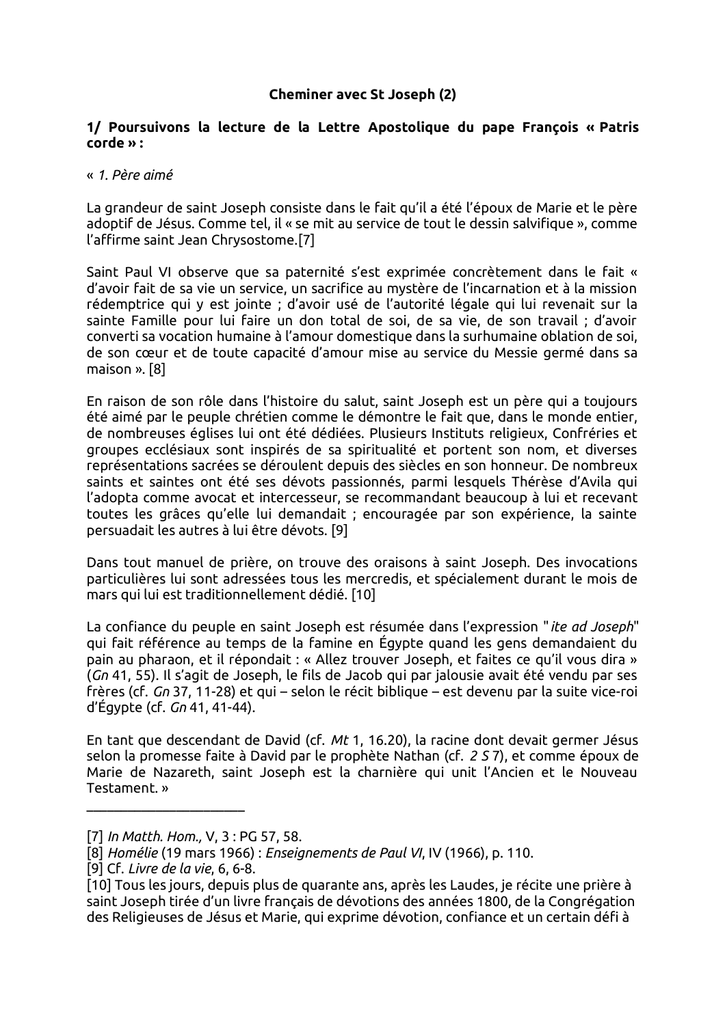### **Cheminer avec St Joseph (2)**

### 1/ Poursuivons la lecture de la Lettre Apostolique du pape François « Patris  $colors$  :

#### « 1. Père aimé

La grandeur de saint Joseph consiste dans le fait qu'il a été l'époux de Marie et le père adoptif de Jésus. Comme tel, il « se mit au service de tout le dessin salvifique », comme l'affirme saint Jean Chrysostome.[7]

Saint Paul VI observe que sa paternité s'est exprimée concrètement dans le fait « d'avoir fait de sa vie un service, un sacrifice au mystère de l'incarnation et à la mission rédemptrice qui y est jointe ; d'avoir usé de l'autorité légale qui lui revenait sur la sainte Famille pour lui faire un don total de soi, de sa vie, de son travail : d'avoir converti sa vocation humaine à l'amour domestique dans la surhumaine oblation de soi, de son cœur et de toute capacité d'amour mise au service du Messie germé dans sa maison ». [8]

En raison de son rôle dans l'histoire du salut, saint Joseph est un père qui a toujours été aimé par le peuple chrétien comme le démontre le fait que, dans le monde entier, de nombreuses églises lui ont été dédiées. Plusieurs Instituts religieux. Confréries et groupes ecclésiaux sont inspirés de sa spiritualité et portent son nom, et diverses représentations sacrées se déroulent depuis des siècles en son honneur. De nombreux saints et saintes ont été ses dévots passionnés, parmi lesquels Thérèse d'Avila qui l'adopta comme avocat et intercesseur, se recommandant beaucoup à lui et recevant toutes les grâces qu'elle lui demandait ; encouragée par son expérience, la sainte persuadait les autres à lui être dévots. [9]

Dans tout manuel de prière, on trouve des oraisons à saint Joseph. Des invocations particulières lui sont adressées tous les mercredis, et spécialement durant le mois de mars qui lui est traditionnellement dédié. [10]

La confiance du peuple en saint Joseph est résumée dans l'expression "ite ad Joseph" qui fait référence au temps de la famine en Égypte quand les gens demandaient du pain au pharaon, et il répondait : « Allez trouver Joseph, et faites ce qu'il vous dira » (Gn 41, 55). Il s'agit de Joseph, le fils de Jacob qui par jalousie avait été vendu par ses frères (cf. Gn 37, 11-28) et qui – selon le récit biblique – est devenu par la suite vice-roi d'Égypte (cf.  $Gn$  41, 41-44).

En tant que descendant de David (cf. Mt 1, 16.20), la racine dont devait germer Jésus selon la promesse faite à David par le prophète Nathan (cf. 2 S 7), et comme époux de Marie de Nazareth, saint Joseph est la charnière qui unit l'Ancien et le Nouveau Testament. »

<sup>[7]</sup> In Matth. Hom., V. 3: PG 57, 58.

<sup>[8]</sup> Homélie (19 mars 1966): Enseignements de Paul VI, IV (1966), p. 110.

<sup>[9]</sup> Cf. Livre de la vie, 6, 6-8.

<sup>[10]</sup> Tous les jours, depuis plus de quarante ans, après les Laudes, je récite une prière à saint Joseph tirée d'un livre français de dévotions des années 1800, de la Congrégation des Religieuses de Jésus et Marie, qui exprime dévotion, confiance et un certain défi à